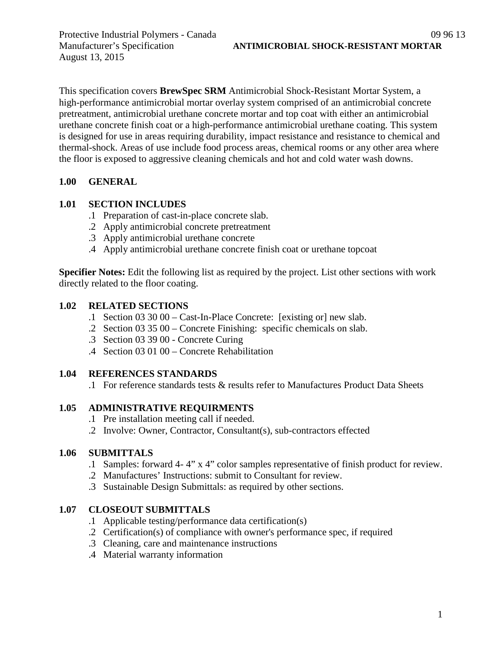August 13, 2015

This specification covers **BrewSpec SRM** Antimicrobial Shock-Resistant Mortar System, a high-performance antimicrobial mortar overlay system comprised of an antimicrobial concrete pretreatment, antimicrobial urethane concrete mortar and top coat with either an antimicrobial urethane concrete finish coat or a high-performance antimicrobial urethane coating. This system is designed for use in areas requiring durability, impact resistance and resistance to chemical and thermal-shock. Areas of use include food process areas, chemical rooms or any other area where the floor is exposed to aggressive cleaning chemicals and hot and cold water wash downs.

## **1.00 GENERAL**

#### **1.01 SECTION INCLUDES**

- .1 Preparation of cast-in-place concrete slab.
- .2 Apply antimicrobial concrete pretreatment
- .3 Apply antimicrobial urethane concrete
- .4 Apply antimicrobial urethane concrete finish coat or urethane topcoat

**Specifier Notes:** Edit the following list as required by the project. List other sections with work directly related to the floor coating.

#### **1.02 RELATED SECTIONS**

- .1 Section 03 30 00 Cast-In-Place Concrete: [existing or] new slab.
- .2 Section 03 35 00 Concrete Finishing: specific chemicals on slab.
- .3 Section 03 39 00 Concrete Curing
- .4 Section 03 01 00 Concrete Rehabilitation

#### **1.04 REFERENCES STANDARDS**

.1 For reference standards tests & results refer to Manufactures Product Data Sheets

## **1.05 ADMINISTRATIVE REQUIRMENTS**

- .1 Pre installation meeting call if needed.
- .2 Involve: Owner, Contractor, Consultant(s), sub-contractors effected

#### **1.06 SUBMITTALS**

- .1 Samples: forward 4- 4" x 4" color samples representative of finish product for review.
- .2 Manufactures' Instructions: submit to Consultant for review.
- .3 Sustainable Design Submittals: as required by other sections.

# **1.07 CLOSEOUT SUBMITTALS**

- .1 Applicable testing/performance data certification(s)
- .2 Certification(s) of compliance with owner's performance spec, if required
- .3 Cleaning, care and maintenance instructions
- .4 Material warranty information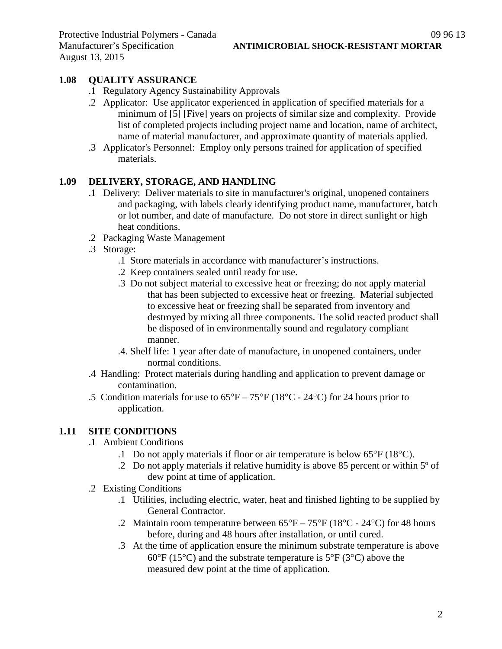# **1.08 QUALITY ASSURANCE**

- .1 Regulatory Agency Sustainability Approvals
- .2 Applicator: Use applicator experienced in application of specified materials for a minimum of [5] [Five] years on projects of similar size and complexity. Provide list of completed projects including project name and location, name of architect, name of material manufacturer, and approximate quantity of materials applied.
- .3 Applicator's Personnel: Employ only persons trained for application of specified materials.

# **1.09 DELIVERY, STORAGE, AND HANDLING**

- .1 Delivery: Deliver materials to site in manufacturer's original, unopened containers and packaging, with labels clearly identifying product name, manufacturer, batch or lot number, and date of manufacture. Do not store in direct sunlight or high heat conditions.
- .2 Packaging Waste Management
- .3 Storage:
	- .1 Store materials in accordance with manufacturer's instructions.
	- .2 Keep containers sealed until ready for use.
	- .3 Do not subject material to excessive heat or freezing; do not apply material that has been subjected to excessive heat or freezing. Material subjected to excessive heat or freezing shall be separated from inventory and destroyed by mixing all three components. The solid reacted product shall be disposed of in environmentally sound and regulatory compliant manner.
	- .4. Shelf life: 1 year after date of manufacture, in unopened containers, under normal conditions.
- .4 Handling: Protect materials during handling and application to prevent damage or contamination.
- .5 Condition materials for use to  $65^{\circ}F 75^{\circ}F (18^{\circ}C 24^{\circ}C)$  for 24 hours prior to application.

# **1.11 SITE CONDITIONS**

- .1 Ambient Conditions
	- .1 Do not apply materials if floor or air temperature is below  $65^{\circ}F(18^{\circ}C)$ .
	- .2 Do not apply materials if relative humidity is above 85 percent or within 5º of dew point at time of application.
- .2 Existing Conditions
	- .1 Utilities, including electric, water, heat and finished lighting to be supplied by General Contractor.
	- .2 Maintain room temperature between  $65^{\circ}F 75^{\circ}F (18^{\circ}C 24^{\circ}C)$  for 48 hours before, during and 48 hours after installation, or until cured.
	- .3 At the time of application ensure the minimum substrate temperature is above 60 $\degree$ F (15 $\degree$ C) and the substrate temperature is 5 $\degree$ F (3 $\degree$ C) above the measured dew point at the time of application.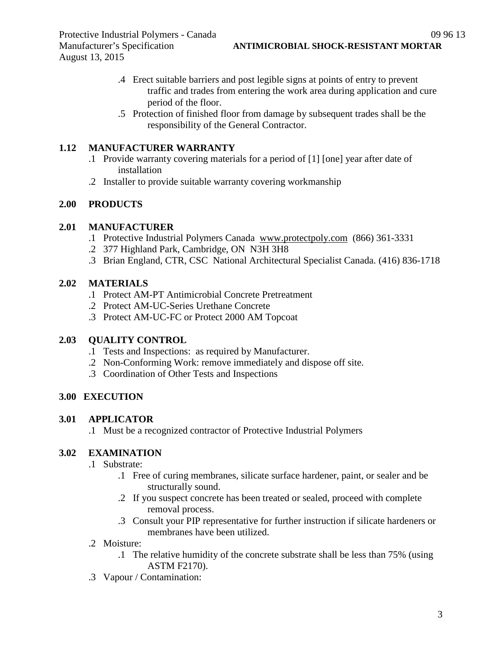- .4 Erect suitable barriers and post legible signs at points of entry to prevent traffic and trades from entering the work area during application and cure period of the floor.
- .5 Protection of finished floor from damage by subsequent trades shall be the responsibility of the General Contractor.

## **1.12 MANUFACTURER WARRANTY**

- .1 Provide warranty covering materials for a period of [1] [one] year after date of installation
- .2 Installer to provide suitable warranty covering workmanship

## **2.00 PRODUCTS**

## **2.01 MANUFACTURER**

- .1 Protective Industrial Polymers Canada [www.protectpoly.com](http://www.protectpoly.com/) (866) 361-3331
- .2 377 Highland Park, Cambridge, ON N3H 3H8
- .3 Brian England, CTR, CSC National Architectural Specialist Canada. (416) 836-1718

## **2.02 MATERIALS**

- .1 Protect AM-PT Antimicrobial Concrete Pretreatment
- .2 Protect AM-UC-Series Urethane Concrete
- .3 Protect AM-UC-FC or Protect 2000 AM Topcoat

#### **2.03 QUALITY CONTROL**

- .1 Tests and Inspections: as required by Manufacturer.
- .2 Non-Conforming Work: remove immediately and dispose off site.
- .3 Coordination of Other Tests and Inspections

# **3.00 EXECUTION**

#### **3.01 APPLICATOR**

.1 Must be a recognized contractor of Protective Industrial Polymers

# **3.02 EXAMINATION**

- .1 Substrate:
	- .1 Free of curing membranes, silicate surface hardener, paint, or sealer and be structurally sound.
	- .2 If you suspect concrete has been treated or sealed, proceed with complete removal process.
	- .3 Consult your PIP representative for further instruction if silicate hardeners or membranes have been utilized.
- .2 Moisture:
	- .1 The relative humidity of the concrete substrate shall be less than 75% (using ASTM F2170).
- .3 Vapour / Contamination: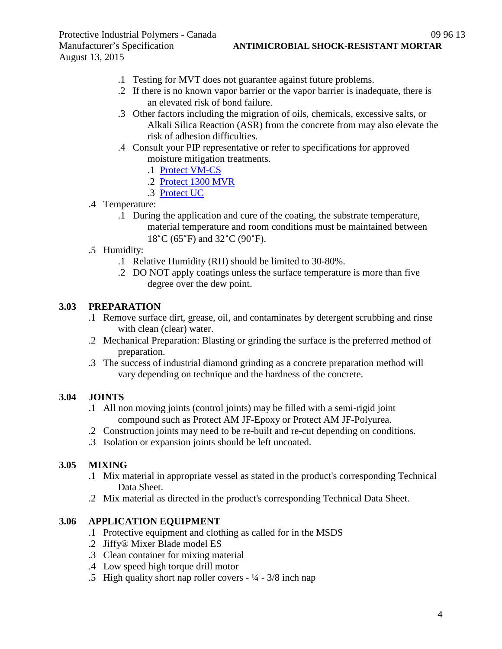Protective Industrial Polymers - Canada 09 96 13 August 13, 2015

- .1 Testing for MVT does not guarantee against future problems.
- .2 If there is no known vapor barrier or the vapor barrier is inadequate, there is an elevated risk of bond failure.
- .3 Other factors including the migration of oils, chemicals, excessive salts, or Alkali Silica Reaction (ASR) from the concrete from may also elevate the risk of adhesion difficulties.
- .4 Consult your PIP representative or refer to specifications for approved moisture mitigation treatments.
	- .1 [Protect VM-CS](http://www.protectiveindustrialpolymers.com/Upload/Canadian%20Specs/Moisture%20Mitigation%20Spec%20-%20VM-CS%20(CANADIAN).pdf)
	- .2 [Protect 1300 MVR](http://www.protectiveindustrialpolymers.com/Upload/Canadian%20Specs/Moisture%20Mitigation%20Spec%20-%201300MVR%20(CANADIAN).pdf)
	- .3 [Protect UC](http://www.protectiveindustrialpolymers.com/Upload/Canadian%20Specs/Moisture%20Mitigation%20Spec%20-%20UC%20(CANADIAN).pdf)
- .4 Temperature:
	- .1 During the application and cure of the coating, the substrate temperature, material temperature and room conditions must be maintained between 18˚C (65˚F) and 32˚C (90˚F).
- .5 Humidity:
	- .1 Relative Humidity (RH) should be limited to 30-80%.
	- .2 DO NOT apply coatings unless the surface temperature is more than five degree over the dew point.

# **3.03 PREPARATION**

- .1 Remove surface dirt, grease, oil, and contaminates by detergent scrubbing and rinse with clean (clear) water.
- .2 Mechanical Preparation: Blasting or grinding the surface is the preferred method of preparation.
- .3 The success of industrial diamond grinding as a concrete preparation method will vary depending on technique and the hardness of the concrete.

# **3.04 JOINTS**

- .1 All non moving joints (control joints) may be filled with a semi-rigid joint compound such as Protect AM JF-Epoxy or Protect AM JF-Polyurea.
- .2 Construction joints may need to be re-built and re-cut depending on conditions.
- .3 Isolation or expansion joints should be left uncoated.

#### **3.05 MIXING**

- .1 Mix material in appropriate vessel as stated in the product's corresponding Technical Data Sheet.
- .2 Mix material as directed in the product's corresponding Technical Data Sheet.

#### **3.06 APPLICATION EQUIPMENT**

- .1 Protective equipment and clothing as called for in the MSDS
- .2 Jiffy® Mixer Blade model ES
- .3 Clean container for mixing material
- .4 Low speed high torque drill motor
- .5 High quality short nap roller covers  $-1/4 3/8$  inch nap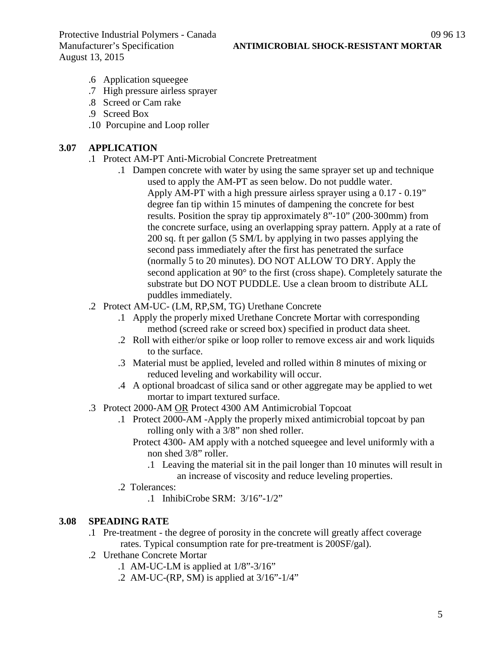Protective Industrial Polymers - Canada 09 96 13<br>Manufacturer's Specification **ANTIMICROBIAL SHOCK-RESISTANT MORTAR** August 13, 2015

- .6 Application squeegee
- .7 High pressure airless sprayer
- .8 Screed or Cam rake
- .9 Screed Box
- .10 Porcupine and Loop roller

#### **3.07 APPLICATION**

- .1 Protect AM-PT Anti-Microbial Concrete Pretreatment
	- .1 Dampen concrete with water by using the same sprayer set up and technique used to apply the AM-PT as seen below. Do not puddle water. Apply AM-PT with a high pressure airless sprayer using a 0.17 ‐ 0.19" degree fan tip within 15 minutes of dampening the concrete for best results. Position the spray tip approximately 8"‐10" (200‐300mm) from the concrete surface, using an overlapping spray pattern. Apply at a rate of 200 sq. ft per gallon (5 SM/L by applying in two passes applying the second pass immediately after the first has penetrated the surface (normally 5 to 20 minutes). DO NOT ALLOW TO DRY. Apply the second application at 90° to the first (cross shape). Completely saturate the substrate but DO NOT PUDDLE. Use a clean broom to distribute ALL puddles immediately.
- .2 Protect AM-UC- (LM, RP,SM, TG) Urethane Concrete
	- .1 Apply the properly mixed Urethane Concrete Mortar with corresponding method (screed rake or screed box) specified in product data sheet.
	- .2 Roll with either/or spike or loop roller to remove excess air and work liquids to the surface.
	- .3 Material must be applied, leveled and rolled within 8 minutes of mixing or reduced leveling and workability will occur.
	- .4 A optional broadcast of silica sand or other aggregate may be applied to wet mortar to impart textured surface.
- .3 Protect 2000-AM OR Protect 4300 AM Antimicrobial Topcoat
	- .1 Protect 2000-AM -Apply the properly mixed antimicrobial topcoat by pan rolling only with a 3/8" non shed roller.
		- Protect 4300- AM apply with a notched squeegee and level uniformly with a non shed 3/8" roller.
			- .1 Leaving the material sit in the pail longer than 10 minutes will result in an increase of viscosity and reduce leveling properties.
	- .2 Tolerances:
		- .1 InhibiCrobe SRM: 3/16"-1/2"

#### **3.08 SPEADING RATE**

- .1 Pre-treatment the degree of porosity in the concrete will greatly affect coverage rates. Typical consumption rate for pre-treatment is 200SF/gal).
- .2 Urethane Concrete Mortar
	- .1 AM-UC-LM is applied at  $1/8$ "-3/16"
	- .2 AM-UC-(RP, SM) is applied at  $3/16$ "- $1/4$ "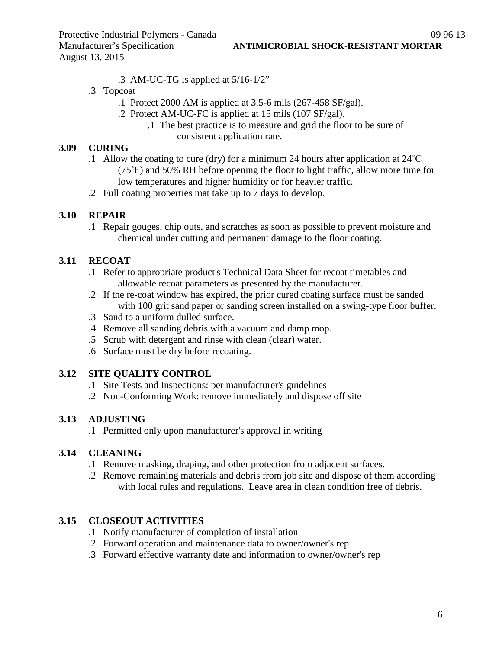- .3 AM-UC-TG is applied at 5/16-1/2"
- .3 Topcoat
	- .1 Protect 2000 AM is applied at 3.5-6 mils (267-458 SF/gal).
	- .2 Protect AM-UC-FC is applied at 15 mils (107 SF/gal).
		- .1 The best practice is to measure and grid the floor to be sure of consistent application rate.

## **3.09 CURING**

- .1 Allow the coating to cure (dry) for a minimum 24 hours after application at 24˚C (75˚F) and 50% RH before opening the floor to light traffic, allow more time for low temperatures and higher humidity or for heavier traffic.
- .2 Full coating properties mat take up to 7 days to develop.

# **3.10 REPAIR**

.1 Repair gouges, chip outs, and scratches as soon as possible to prevent moisture and chemical under cutting and permanent damage to the floor coating.

## **3.11 RECOAT**

- .1 Refer to appropriate product's Technical Data Sheet for recoat timetables and allowable recoat parameters as presented by the manufacturer.
- .2 If the re-coat window has expired, the prior cured coating surface must be sanded with 100 grit sand paper or sanding screen installed on a swing-type floor buffer.
- .3 Sand to a uniform dulled surface.
- .4 Remove all sanding debris with a vacuum and damp mop.
- .5 Scrub with detergent and rinse with clean (clear) water.
- .6 Surface must be dry before recoating.

# **3.12 SITE QUALITY CONTROL**

- .1 Site Tests and Inspections: per manufacturer's guidelines
- .2 Non-Conforming Work: remove immediately and dispose off site

# **3.13 ADJUSTING**

.1 Permitted only upon manufacturer's approval in writing

# **3.14 CLEANING**

- .1 Remove masking, draping, and other protection from adjacent surfaces.
- .2 Remove remaining materials and debris from job site and dispose of them according with local rules and regulations. Leave area in clean condition free of debris.

# **3.15 CLOSEOUT ACTIVITIES**

- .1 Notify manufacturer of completion of installation
- .2 Forward operation and maintenance data to owner/owner's rep
- .3 Forward effective warranty date and information to owner/owner's rep